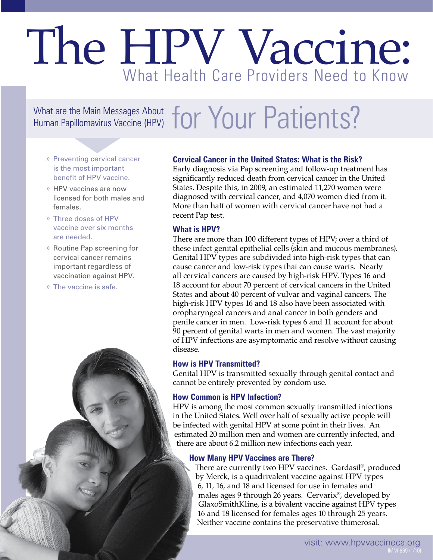What are the Main Messages About **for Your Patients?** 

- » Preventing cervical cancer is the most important benefit of HPV vaccine.
- » HPV vaccines are now licensed for both males and females.
- » Three doses of HPV vaccine over six months are needed.
- » Routine Pap screening for cervical cancer remains important regardless of vaccination against HPV.
- » The vaccine is safe.

#### **Cervical Cancer in the United States: What is the Risk?**

Early diagnosis via Pap screening and follow-up treatment has significantly reduced death from cervical cancer in the United States. Despite this, in 2009, an estimated 11,270 women were diagnosed with cervical cancer, and 4,070 women died from it. More than half of women with cervical cancer have not had a recent Pap test.

#### **What is HPV?**

There are more than 100 different types of HPV; over a third of these infect genital epithelial cells (skin and mucous membranes). Genital HPV types are subdivided into high-risk types that can cause cancer and low-risk types that can cause warts. Nearly all cervical cancers are caused by high-risk HPV. Types 16 and 18 account for about 70 percent of cervical cancers in the United States and about 40 percent of vulvar and vaginal cancers. The high-risk HPV types 16 and 18 also have been associated with oropharyngeal cancers and anal cancer in both genders and penile cancer in men. Low-risk types 6 and 11 account for about 90 percent of genital warts in men and women. The vast majority of HPV infections are asymptomatic and resolve without causing disease.

#### **How is HPV Transmitted?**

Genital HPV is transmitted sexually through genital contact and cannot be entirely prevented by condom use.

#### **How Common is HPV Infection?**

HPV is among the most common sexually transmitted infections in the United States. Well over half of sexually active people will be infected with genital HPV at some point in their lives. An estimated 20 million men and women are currently infected, and there are about 6.2 million new infections each year.

#### **How Many HPV Vaccines are There?**

There are currently two HPV vaccines. Gardasil®, produced by Merck, is a quadrivalent vaccine against HPV types 6, 11, 16, and 18 and licensed for use in females and males ages 9 through 26 years. Cervarix®, developed by GlaxoSmithKline, is a bivalent vaccine against HPV types 16 and 18 licensed for females ages 10 through 25 years. Neither vaccine contains the preservative thimerosal.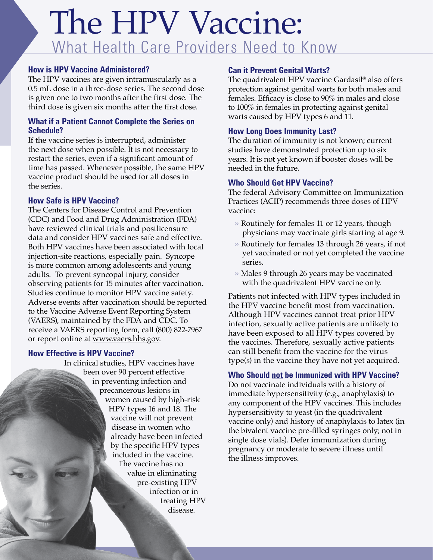#### **How is HPV Vaccine Administered?**

The HPV vaccines are given intramuscularly as a 0.5 mL dose in a three-dose series. The second dose is given one to two months after the first dose. The third dose is given six months after the first dose.

#### **What if a Patient Cannot Complete the Series on Schedule?**

If the vaccine series is interrupted, administer the next dose when possible. It is not necessary to restart the series, even if a significant amount of time has passed. Whenever possible, the same HPV vaccine product should be used for all doses in the series.

#### **How Safe is HPV Vaccine?**

The Centers for Disease Control and Prevention (CDC) and Food and Drug Administration (FDA) have reviewed clinical trials and postlicensure data and consider HPV vaccines safe and effective. Both HPV vaccines have been associated with local injection-site reactions, especially pain. Syncope is more common among adolescents and young adults. To prevent syncopal injury, consider observing patients for 15 minutes after vaccination. Studies continue to monitor HPV vaccine safety. Adverse events after vaccination should be reported to the Vaccine Adverse Event Reporting System (VAERS), maintained by the FDA and CDC. To receive a VAERS reporting form, call (800) 822-7967 or report online at www.vaers.hhs.gov.

#### **How Effective is HPV Vaccine?**

In clinical studies, HPV vaccines have been over 90 percent effective in preventing infection and precancerous lesions in women caused by high-risk HPV types 16 and 18. The vaccine will not prevent disease in women who already have been infected by the specific HPV types included in the vaccine. The vaccine has no value in eliminating pre-existing HPV infection or in treating HPV disease.

#### **Can it Prevent Genital Warts?**

The quadrivalent HPV vaccine Gardasil® also offers protection against genital warts for both males and females. Efficacy is close to 90% in males and close to 100% in females in protecting against genital warts caused by HPV types 6 and 11.

#### **How Long Does Immunity Last?**

The duration of immunity is not known; current studies have demonstrated protection up to six years. It is not yet known if booster doses will be needed in the future.

#### **Who Should Get HPV Vaccine?**

The federal Advisory Committee on Immunization Practices (ACIP) recommends three doses of HPV vaccine:

- » Routinely for females 11 or 12 years, though physicians may vaccinate girls starting at age 9.
- » Routinely for females 13 through 26 years, if not yet vaccinated or not yet completed the vaccine series.
- » Males 9 through 26 years may be vaccinated with the quadrivalent HPV vaccine only.

Patients not infected with HPV types included in the HPV vaccine benefit most from vaccination. Although HPV vaccines cannot treat prior HPV infection, sexually active patients are unlikely to have been exposed to all HPV types covered by the vaccines. Therefore, sexually active patients can still benefit from the vaccine for the virus type(s) in the vaccine they have not yet acquired.

#### **Who Should not be Immunized with HPV Vaccine?**

Do not vaccinate individuals with a history of immediate hypersensitivity (e.g., anaphylaxis) to any component of the HPV vaccines. This includes hypersensitivity to yeast (in the quadrivalent vaccine only) and history of anaphylaxis to latex (in the bivalent vaccine pre-filled syringes only; not in single dose vials). Defer immunization during pregnancy or moderate to severe illness until the illness improves.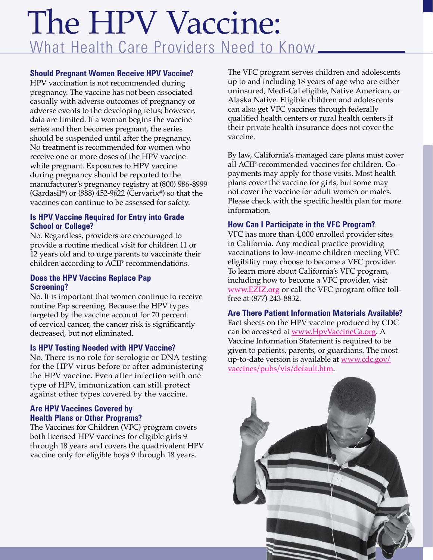#### **Should Pregnant Women Receive HPV Vaccine?**

HPV vaccination is not recommended during pregnancy. The vaccine has not been associated casually with adverse outcomes of pregnancy or adverse events to the developing fetus; however, data are limited. If a woman begins the vaccine series and then becomes pregnant, the series should be suspended until after the pregnancy. No treatment is recommended for women who receive one or more doses of the HPV vaccine while pregnant. Exposures to HPV vaccine during pregnancy should be reported to the manufacturer's pregnancy registry at (800) 986-8999 (Gardasil®) or  $(888)$  452-9622 (Cervarix®) so that the vaccines can continue to be assessed for safety.

#### **Is HPV Vaccine Required for Entry into Grade School or College?**

No. Regardless, providers are encouraged to provide a routine medical visit for children 11 or 12 years old and to urge parents to vaccinate their children according to ACIP recommendations.

#### **Does the HPV Vaccine Replace Pap Screening?**

No. It is important that women continue to receive routine Pap screening. Because the HPV types targeted by the vaccine account for 70 percent of cervical cancer, the cancer risk is significantly decreased, but not eliminated.

#### **Is HPV Testing Needed with HPV Vaccine?**

No. There is no role for serologic or DNA testing for the HPV virus before or after administering the HPV vaccine. Even after infection with one type of HPV, immunization can still protect against other types covered by the vaccine.

#### **Are HPV Vaccines Covered by Health Plans or Other Programs?**

The Vaccines for Children (VFC) program covers both licensed HPV vaccines for eligible girls 9 through 18 years and covers the quadrivalent HPV vaccine only for eligible boys 9 through 18 years.

The VFC program serves children and adolescents up to and including 18 years of age who are either uninsured, Medi-Cal eligible, Native American, or Alaska Native. Eligible children and adolescents can also get VFC vaccines through federally qualified health centers or rural health centers if their private health insurance does not cover the vaccine.

By law, California's managed care plans must cover all ACIP-recommended vaccines for children. Copayments may apply for those visits. Most health plans cover the vaccine for girls, but some may not cover the vaccine for adult women or males. Please check with the specific health plan for more information.

#### **How Can I Participate in the VFC Program?**

VFC has more than 4,000 enrolled provider sites in California. Any medical practice providing vaccinations to low-income children meeting VFC eligibility may choose to become a VFC provider. To learn more about California's VFC program, including how to become a VFC provider, visit [www.EZIZ.org](http://www.eziz.org) or call the VFC program office tollfree at (877) 243-8832.

**Are There Patient Information Materials Available?** Fact sheets on the HPV vaccine produced by CDC can be accessed at [www.HpvVaccineCa.org.](http://www.hpvvaccineca.org) A Vaccine Information Statement is required to be given to patients, parents, or guardians. The most up-to-date version is available at [www.cdc.gov/](http://www.cdc.gov/vaccines/pubs/vis/default.htm)